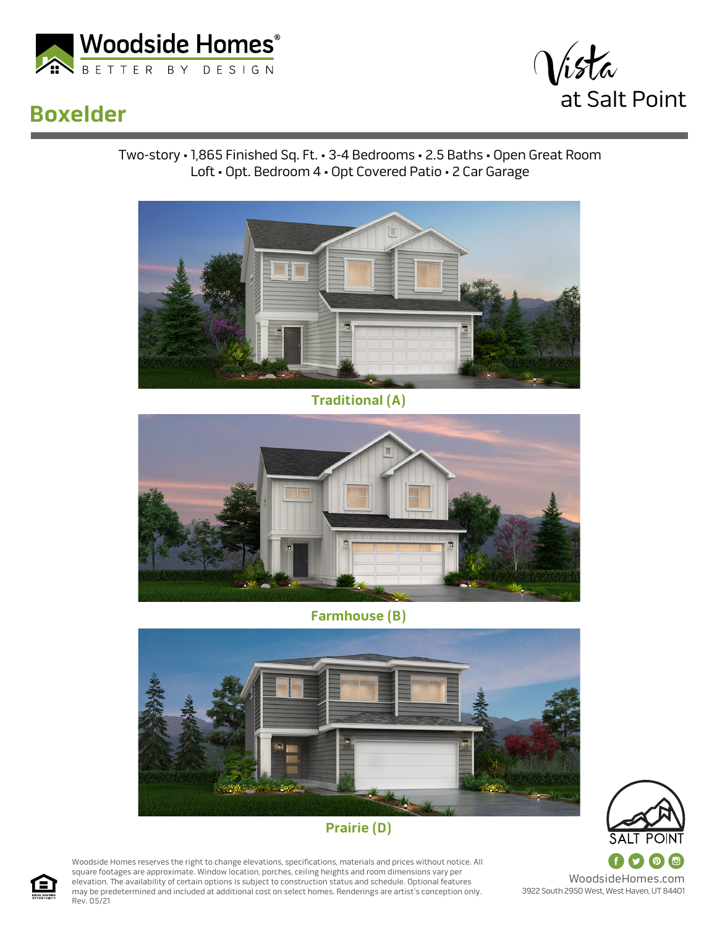

## **Boxelder**



Two-story • 1,865 Finished Sq. Ft. • 3-4 Bedrooms • 2.5 Baths • Open Great Room Loft • Opt. Bedroom 4 • Opt Covered Patio • 2 Car Garage



**Traditional (A)**



**Farmhouse (B)**



## **Prairie (D)**